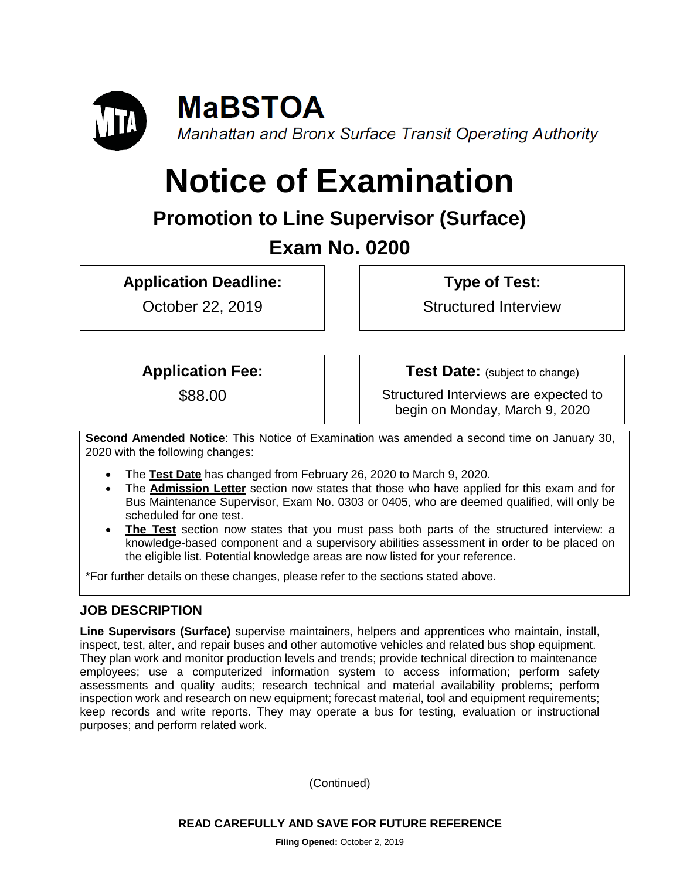

# **Notice of Examination**

# **Promotion to Line Supervisor (Surface) Exam No. 0200**

**Application Deadline:**

October 22, 2019

**Type of Test:** 

Structured Interview

**Application Fee:**

\$88.00

**Test Date:** (subject to change)

Structured Interviews are expected to begin on Monday, March 9, 2020

**Second Amended Notice**: This Notice of Examination was amended a second time on January 30, 2020 with the following changes:

- The **Test Date** has changed from February 26, 2020 to March 9, 2020.
- The **Admission Letter** section now states that those who have applied for this exam and for Bus Maintenance Supervisor, Exam No. 0303 or 0405, who are deemed qualified, will only be scheduled for one test.
- **The Test** section now states that you must pass both parts of the structured interview: a knowledge-based component and a supervisory abilities assessment in order to be placed on the eligible list. Potential knowledge areas are now listed for your reference.

\*For further details on these changes, please refer to the sections stated above.

## **JOB DESCRIPTION**

**Line Supervisors (Surface)** supervise maintainers, helpers and apprentices who maintain, install, inspect, test, alter, and repair buses and other automotive vehicles and related bus shop equipment. They plan work and monitor production levels and trends; provide technical direction to maintenance employees; use a computerized information system to access information; perform safety assessments and quality audits; research technical and material availability problems; perform inspection work and research on new equipment; forecast material, tool and equipment requirements; keep records and write reports. They may operate a bus for testing, evaluation or instructional purposes; and perform related work.

(Continued)

**READ CAREFULLY AND SAVE FOR FUTURE REFERENCE**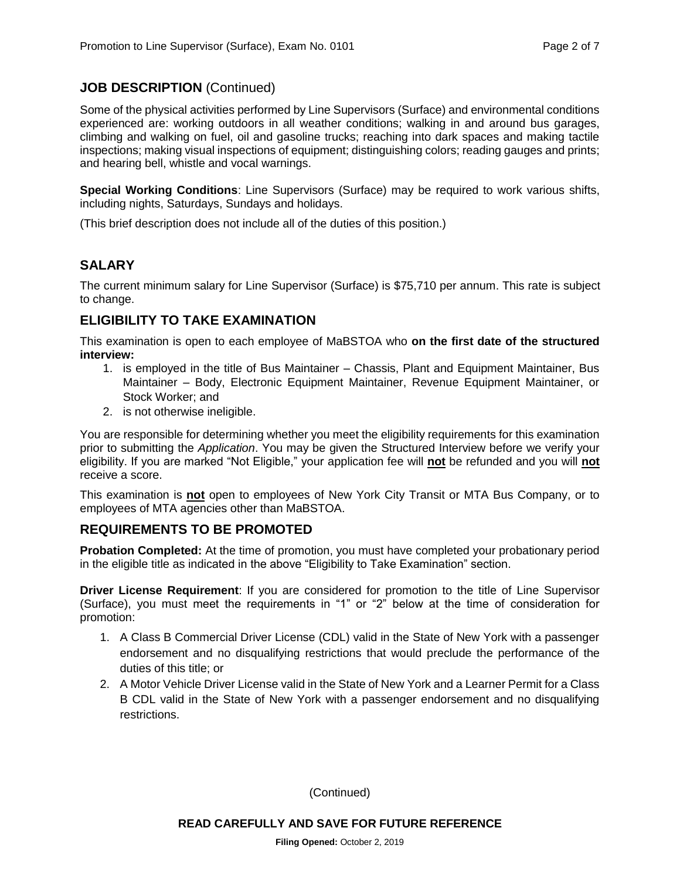#### **JOB DESCRIPTION** (Continued)

Some of the physical activities performed by Line Supervisors (Surface) and environmental conditions experienced are: working outdoors in all weather conditions; walking in and around bus garages, climbing and walking on fuel, oil and gasoline trucks; reaching into dark spaces and making tactile inspections; making visual inspections of equipment; distinguishing colors; reading gauges and prints; and hearing bell, whistle and vocal warnings.

**Special Working Conditions**: Line Supervisors (Surface) may be required to work various shifts, including nights, Saturdays, Sundays and holidays.

(This brief description does not include all of the duties of this position.)

#### **SALARY**

The current minimum salary for Line Supervisor (Surface) is \$75,710 per annum. This rate is subject to change.

#### **ELIGIBILITY TO TAKE EXAMINATION**

This examination is open to each employee of MaBSTOA who **on the first date of the structured interview:**

- 1. is employed in the title of Bus Maintainer Chassis, Plant and Equipment Maintainer, Bus Maintainer – Body, Electronic Equipment Maintainer, Revenue Equipment Maintainer, or Stock Worker; and
- 2. is not otherwise ineligible.

You are responsible for determining whether you meet the eligibility requirements for this examination prior to submitting the *Application*. You may be given the Structured Interview before we verify your eligibility. If you are marked "Not Eligible," your application fee will **not** be refunded and you will **not** receive a score.

This examination is **not** open to employees of New York City Transit or MTA Bus Company, or to employees of MTA agencies other than MaBSTOA.

#### **REQUIREMENTS TO BE PROMOTED**

**Probation Completed:** At the time of promotion, you must have completed your probationary period in the eligible title as indicated in the above "Eligibility to Take Examination" section.

**Driver License Requirement**: If you are considered for promotion to the title of Line Supervisor (Surface), you must meet the requirements in "1" or "2" below at the time of consideration for promotion:

- 1. A Class B Commercial Driver License (CDL) valid in the State of New York with a passenger endorsement and no disqualifying restrictions that would preclude the performance of the duties of this title; or
- 2. A Motor Vehicle Driver License valid in the State of New York and a Learner Permit for a Class B CDL valid in the State of New York with a passenger endorsement and no disqualifying restrictions.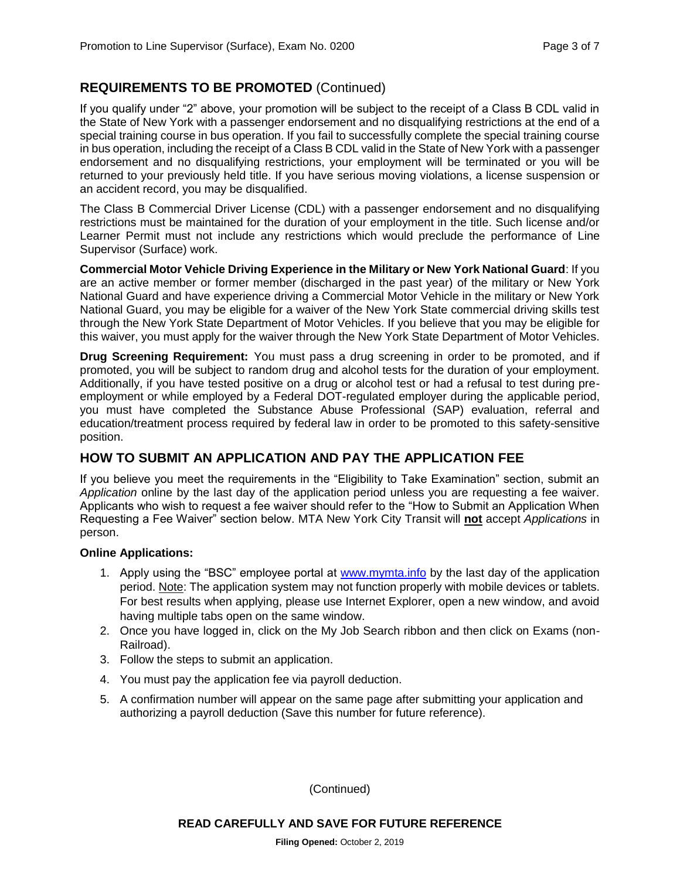#### **REQUIREMENTS TO BE PROMOTED** (Continued)

If you qualify under "2" above, your promotion will be subject to the receipt of a Class B CDL valid in the State of New York with a passenger endorsement and no disqualifying restrictions at the end of a special training course in bus operation. If you fail to successfully complete the special training course in bus operation, including the receipt of a Class B CDL valid in the State of New York with a passenger endorsement and no disqualifying restrictions, your employment will be terminated or you will be returned to your previously held title. If you have serious moving violations, a license suspension or an accident record, you may be disqualified.

The Class B Commercial Driver License (CDL) with a passenger endorsement and no disqualifying restrictions must be maintained for the duration of your employment in the title. Such license and/or Learner Permit must not include any restrictions which would preclude the performance of Line Supervisor (Surface) work.

**Commercial Motor Vehicle Driving Experience in the Military or New York National Guard**: If you are an active member or former member (discharged in the past year) of the military or New York National Guard and have experience driving a Commercial Motor Vehicle in the military or New York National Guard, you may be eligible for a waiver of the New York State commercial driving skills test through the New York State Department of Motor Vehicles. If you believe that you may be eligible for this waiver, you must apply for the waiver through the New York State Department of Motor Vehicles.

**Drug Screening Requirement:** You must pass a drug screening in order to be promoted, and if promoted, you will be subject to random drug and alcohol tests for the duration of your employment. Additionally, if you have tested positive on a drug or alcohol test or had a refusal to test during preemployment or while employed by a Federal DOT-regulated employer during the applicable period, you must have completed the Substance Abuse Professional (SAP) evaluation, referral and education/treatment process required by federal law in order to be promoted to this safety-sensitive position.

#### **HOW TO SUBMIT AN APPLICATION AND PAY THE APPLICATION FEE**

If you believe you meet the requirements in the "Eligibility to Take Examination" section, submit an *Application* online by the last day of the application period unless you are requesting a fee waiver. Applicants who wish to request a fee waiver should refer to the "How to Submit an Application When Requesting a Fee Waiver" section below. MTA New York City Transit will **not** accept *Applications* in person.

#### **Online Applications:**

- 1. Apply using the "BSC" employee portal at [www.mymta.info](http://www.mymta.info/) by the last day of the application period. Note: The application system may not function properly with mobile devices or tablets. For best results when applying, please use Internet Explorer, open a new window, and avoid having multiple tabs open on the same window.
- 2. Once you have logged in, click on the My Job Search ribbon and then click on Exams (non-Railroad).
- 3. Follow the steps to submit an application.
- 4. You must pay the application fee via payroll deduction.
- 5. A confirmation number will appear on the same page after submitting your application and authorizing a payroll deduction (Save this number for future reference).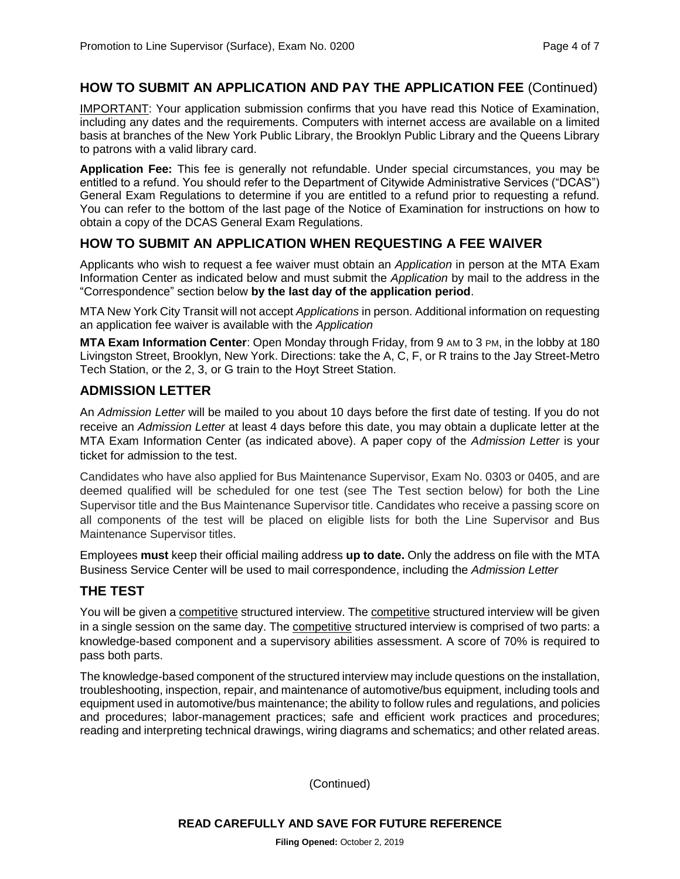#### **HOW TO SUBMIT AN APPLICATION AND PAY THE APPLICATION FEE** (Continued)

IMPORTANT: Your application submission confirms that you have read this Notice of Examination, including any dates and the requirements. Computers with internet access are available on a limited basis at branches of the New York Public Library, the Brooklyn Public Library and the Queens Library to patrons with a valid library card.

**Application Fee:** This fee is generally not refundable. Under special circumstances, you may be entitled to a refund. You should refer to the Department of Citywide Administrative Services ("DCAS") General Exam Regulations to determine if you are entitled to a refund prior to requesting a refund. You can refer to the bottom of the last page of the Notice of Examination for instructions on how to obtain a copy of the DCAS General Exam Regulations.

#### **HOW TO SUBMIT AN APPLICATION WHEN REQUESTING A FEE WAIVER**

Applicants who wish to request a fee waiver must obtain an *Application* in person at the MTA Exam Information Center as indicated below and must submit the *Application* by mail to the address in the "Correspondence" section below **by the last day of the application period**.

MTA New York City Transit will not accept *Applications* in person. Additional information on requesting an application fee waiver is available with the *Application*

**MTA Exam Information Center**: Open Monday through Friday, from 9 AM to 3 PM, in the lobby at 180 Livingston Street, Brooklyn, New York. Directions: take the A, C, F, or R trains to the Jay Street-Metro Tech Station, or the 2, 3, or G train to the Hoyt Street Station.

#### **ADMISSION LETTER**

An *Admission Letter* will be mailed to you about 10 days before the first date of testing. If you do not receive an *Admission Letter* at least 4 days before this date, you may obtain a duplicate letter at the MTA Exam Information Center (as indicated above). A paper copy of the *Admission Letter* is your ticket for admission to the test.

Candidates who have also applied for Bus Maintenance Supervisor, Exam No. 0303 or 0405, and are deemed qualified will be scheduled for one test (see The Test section below) for both the Line Supervisor title and the Bus Maintenance Supervisor title. Candidates who receive a passing score on all components of the test will be placed on eligible lists for both the Line Supervisor and Bus Maintenance Supervisor titles.

Employees **must** keep their official mailing address **up to date.** Only the address on file with the MTA Business Service Center will be used to mail correspondence, including the *Admission Letter*

#### **THE TEST**

You will be given a competitive structured interview. The competitive structured interview will be given in a single session on the same day. The competitive structured interview is comprised of two parts: a knowledge-based component and a supervisory abilities assessment. A score of 70% is required to pass both parts.

The knowledge-based component of the structured interview may include questions on the installation, troubleshooting, inspection, repair, and maintenance of automotive/bus equipment, including tools and equipment used in automotive/bus maintenance; the ability to follow rules and regulations, and policies and procedures; labor-management practices; safe and efficient work practices and procedures; reading and interpreting technical drawings, wiring diagrams and schematics; and other related areas.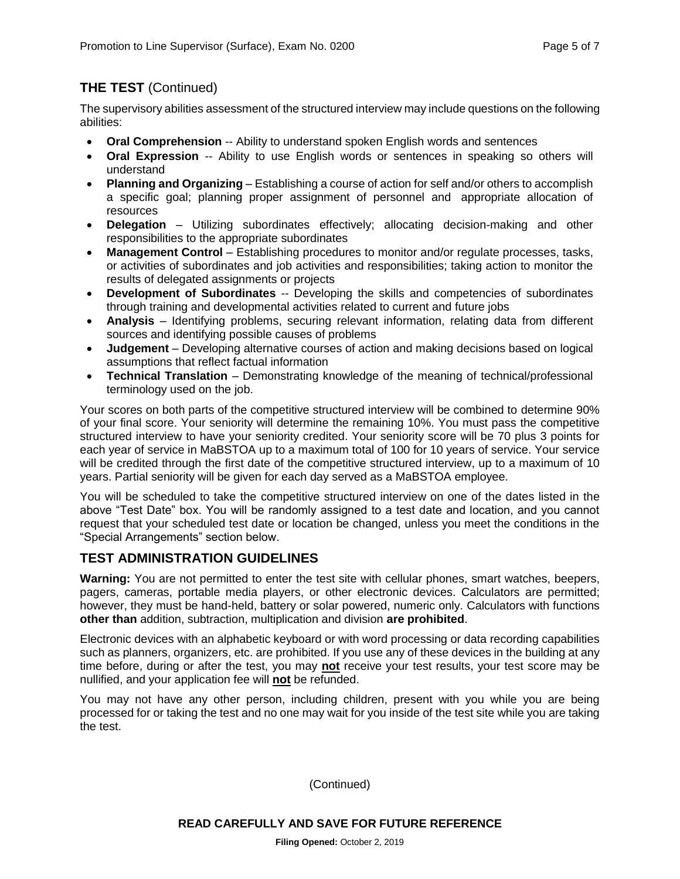# **THE TEST** (Continued)

The supervisory abilities assessment of the structured interview may include questions on the following abilities:

- **Oral Comprehension** -- Ability to understand spoken English words and sentences
- **Oral Expression** -- Ability to use English words or sentences in speaking so others will understand
- **Planning and Organizing**  Establishing a course of action for self and/or others to accomplish a specific goal; planning proper assignment of personnel and appropriate allocation of resources
- **Delegation**  Utilizing subordinates effectively; allocating decision-making and other responsibilities to the appropriate subordinates
- **Management Control** Establishing procedures to monitor and/or regulate processes, tasks, or activities of subordinates and job activities and responsibilities; taking action to monitor the results of delegated assignments or projects
- **Development of Subordinates** -- Developing the skills and competencies of subordinates through training and developmental activities related to current and future jobs
- **Analysis** Identifying problems, securing relevant information, relating data from different sources and identifying possible causes of problems
- **Judgement** Developing alternative courses of action and making decisions based on logical assumptions that reflect factual information
- **Technical Translation**  Demonstrating knowledge of the meaning of technical/professional terminology used on the job.

Your scores on both parts of the competitive structured interview will be combined to determine 90% of your final score. Your seniority will determine the remaining 10%. You must pass the competitive structured interview to have your seniority credited. Your seniority score will be 70 plus 3 points for each year of service in MaBSTOA up to a maximum total of 100 for 10 years of service. Your service will be credited through the first date of the competitive structured interview, up to a maximum of 10 years. Partial seniority will be given for each day served as a MaBSTOA employee.

You will be scheduled to take the competitive structured interview on one of the dates listed in the above "Test Date" box. You will be randomly assigned to a test date and location, and you cannot request that your scheduled test date or location be changed, unless you meet the conditions in the "Special Arrangements" section below.

### **TEST ADMINISTRATION GUIDELINES**

**Warning:** You are not permitted to enter the test site with cellular phones, smart watches, beepers, pagers, cameras, portable media players, or other electronic devices. Calculators are permitted; however, they must be hand-held, battery or solar powered, numeric only. Calculators with functions **other than** addition, subtraction, multiplication and division **are prohibited**.

Electronic devices with an alphabetic keyboard or with word processing or data recording capabilities such as planners, organizers, etc. are prohibited. If you use any of these devices in the building at any time before, during or after the test, you may **not** receive your test results, your test score may be nullified, and your application fee will **not** be refunded.

You may not have any other person, including children, present with you while you are being processed for or taking the test and no one may wait for you inside of the test site while you are taking the test.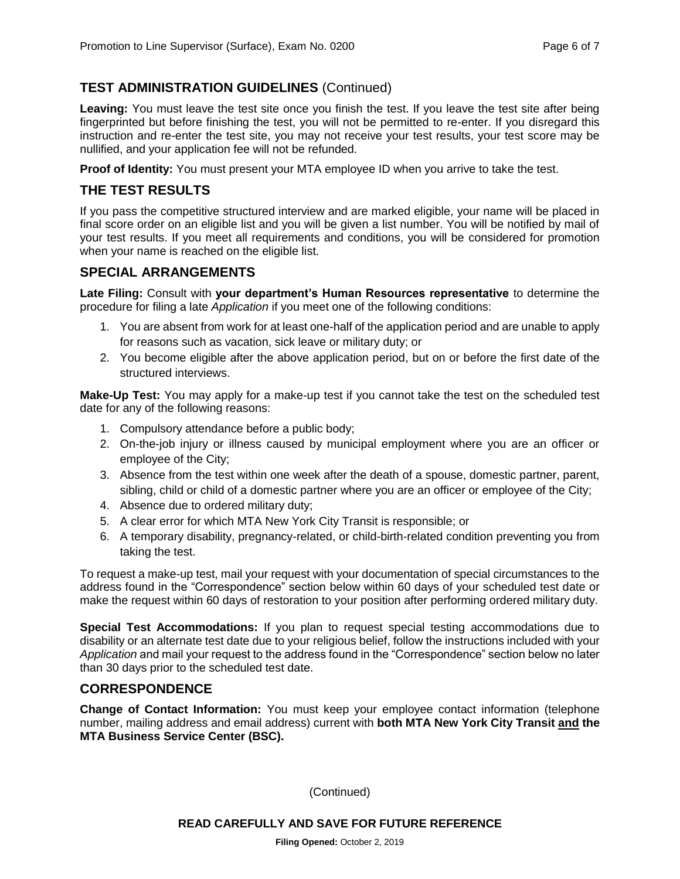#### **TEST ADMINISTRATION GUIDELINES** (Continued)

Leaving: You must leave the test site once you finish the test. If you leave the test site after being fingerprinted but before finishing the test, you will not be permitted to re-enter. If you disregard this instruction and re-enter the test site, you may not receive your test results, your test score may be nullified, and your application fee will not be refunded.

**Proof of Identity:** You must present your MTA employee ID when you arrive to take the test.

#### **THE TEST RESULTS**

If you pass the competitive structured interview and are marked eligible, your name will be placed in final score order on an eligible list and you will be given a list number. You will be notified by mail of your test results. If you meet all requirements and conditions, you will be considered for promotion when your name is reached on the eligible list.

#### **SPECIAL ARRANGEMENTS**

**Late Filing:** Consult with **your department's Human Resources representative** to determine the procedure for filing a late *Application* if you meet one of the following conditions:

- 1. You are absent from work for at least one-half of the application period and are unable to apply for reasons such as vacation, sick leave or military duty; or
- 2. You become eligible after the above application period, but on or before the first date of the structured interviews.

**Make-Up Test:** You may apply for a make-up test if you cannot take the test on the scheduled test date for any of the following reasons:

- 1. Compulsory attendance before a public body;
- 2. On-the-job injury or illness caused by municipal employment where you are an officer or employee of the City;
- 3. Absence from the test within one week after the death of a spouse, domestic partner, parent, sibling, child or child of a domestic partner where you are an officer or employee of the City;
- 4. Absence due to ordered military duty;
- 5. A clear error for which MTA New York City Transit is responsible; or
- 6. A temporary disability, pregnancy-related, or child-birth-related condition preventing you from taking the test.

To request a make-up test, mail your request with your documentation of special circumstances to the address found in the "Correspondence" section below within 60 days of your scheduled test date or make the request within 60 days of restoration to your position after performing ordered military duty.

**Special Test Accommodations:** If you plan to request special testing accommodations due to disability or an alternate test date due to your religious belief, follow the instructions included with your *Application* and mail your request to the address found in the "Correspondence" section below no later than 30 days prior to the scheduled test date.

#### **CORRESPONDENCE**

**Change of Contact Information:** You must keep your employee contact information (telephone number, mailing address and email address) current with **both MTA New York City Transit and the MTA Business Service Center (BSC).**